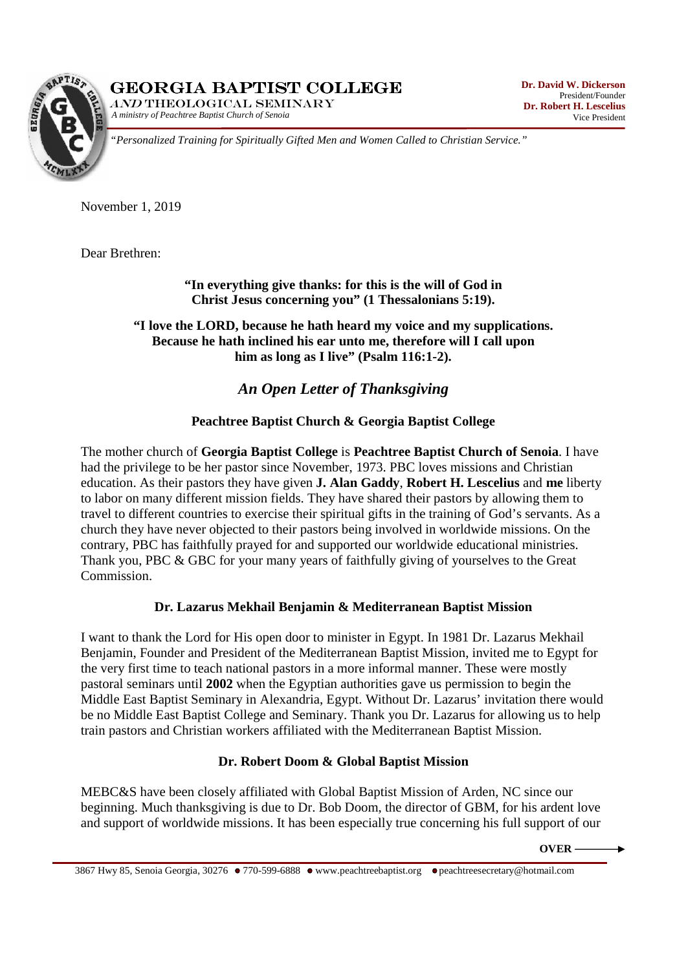GEORGIA BAPTIST COLLEGE

*A ministry of Peachtree Baptist Church of Senoia*  AND THEOLOGICAL SEMINARY



*"Personalized Training for Spiritually Gifted Men and Women Called to Christian Service."* 

November 1, 2019

Dear Brethren:

**"In everything give thanks: for this is the will of God in Christ Jesus concerning you" (1 Thessalonians 5:19).** 

**"I love the LORD, because he hath heard my voice and my supplications. Because he hath inclined his ear unto me, therefore will I call upon him as long as I live" (Psalm 116:1-2).** 

# *An Open Letter of Thanksgiving*

### **Peachtree Baptist Church & Georgia Baptist College**

The mother church of **Georgia Baptist College** is **Peachtree Baptist Church of Senoia**. I have had the privilege to be her pastor since November, 1973. PBC loves missions and Christian education. As their pastors they have given **J. Alan Gaddy**, **Robert H. Lescelius** and **me** liberty to labor on many different mission fields. They have shared their pastors by allowing them to travel to different countries to exercise their spiritual gifts in the training of God's servants. As a church they have never objected to their pastors being involved in worldwide missions. On the contrary, PBC has faithfully prayed for and supported our worldwide educational ministries. Thank you, PBC & GBC for your many years of faithfully giving of yourselves to the Great Commission.

### **Dr. Lazarus Mekhail Benjamin & Mediterranean Baptist Mission**

I want to thank the Lord for His open door to minister in Egypt. In 1981 Dr. Lazarus Mekhail Benjamin, Founder and President of the Mediterranean Baptist Mission, invited me to Egypt for the very first time to teach national pastors in a more informal manner. These were mostly pastoral seminars until **2002** when the Egyptian authorities gave us permission to begin the Middle East Baptist Seminary in Alexandria, Egypt. Without Dr. Lazarus' invitation there would be no Middle East Baptist College and Seminary. Thank you Dr. Lazarus for allowing us to help train pastors and Christian workers affiliated with the Mediterranean Baptist Mission.

### **Dr. Robert Doom & Global Baptist Mission**

MEBC&S have been closely affiliated with Global Baptist Mission of Arden, NC since our beginning. Much thanksgiving is due to Dr. Bob Doom, the director of GBM, for his ardent love and support of worldwide missions. It has been especially true concerning his full support of our

**OVER**